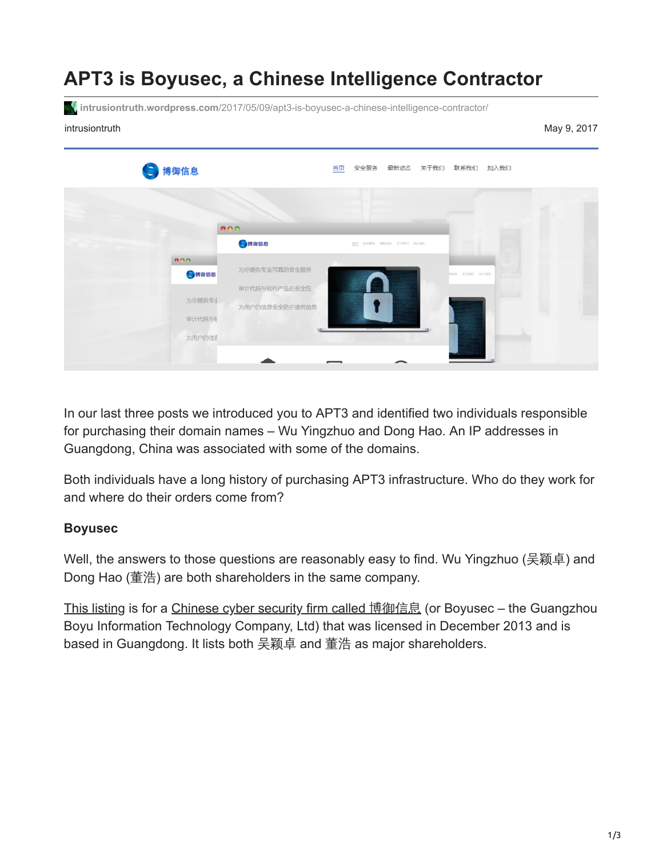## **APT3 is Boyusec, a Chinese Intelligence Contractor**

**intrusiontruth.wordpress.com**[/2017/05/09/apt3-is-boyusec-a-chinese-intelligence-contractor/](https://intrusiontruth.wordpress.com/2017/05/09/apt3-is-boyusec-a-chinese-intelligence-contractor/)

intrusiontruth May 9, 2017

| 5 博御信息 |                                | 安全服务 最新动态 关于我们 联系我们 加入我们<br>首页 |               |  |
|--------|--------------------------------|--------------------------------|---------------|--|
|        | 000                            |                                |               |  |
|        | S博御信息                          | 图页 安全服务 最新动态 关于我们 加入我们         |               |  |
| 000    |                                |                                |               |  |
| ●博御信息  | 为你提供专业可靠的安全服务<br>审计代码与软件产品的安全性 |                                | 新功也 关于我们 加入我们 |  |
| 为你提供专业 | 为用户的信息安全防护提供信息                 |                                |               |  |
| 审计代码与  |                                |                                |               |  |
| 为用户的信息 |                                |                                |               |  |

In our last three posts we introduced you to APT3 and identified two individuals responsible for purchasing their domain names – Wu Yingzhuo and Dong Hao. An IP addresses in Guangdong, China was associated with some of the domains.

Both individuals have a long history of purchasing APT3 infrastructure. Who do they work for and where do their orders come from?

#### **Boyusec**

Well, the answers to those questions are reasonably easy to find. Wu Yingzhuo (吴颖卓) and Dong Hao (董浩) are both shareholders in the same company.

[This listing](http://company.xizhi.com/GS570782da1f98cc03038b468b/) is for a [Chinese cyber security firm called](http://www.boyusec.com/) 博御信息 (or Boyusec – the Guangzhou Boyu Information Technology Company, Ltd) that was licensed in December 2013 and is based in Guangdong. It lists both 吴颖卓 and 董浩 as major shareholders.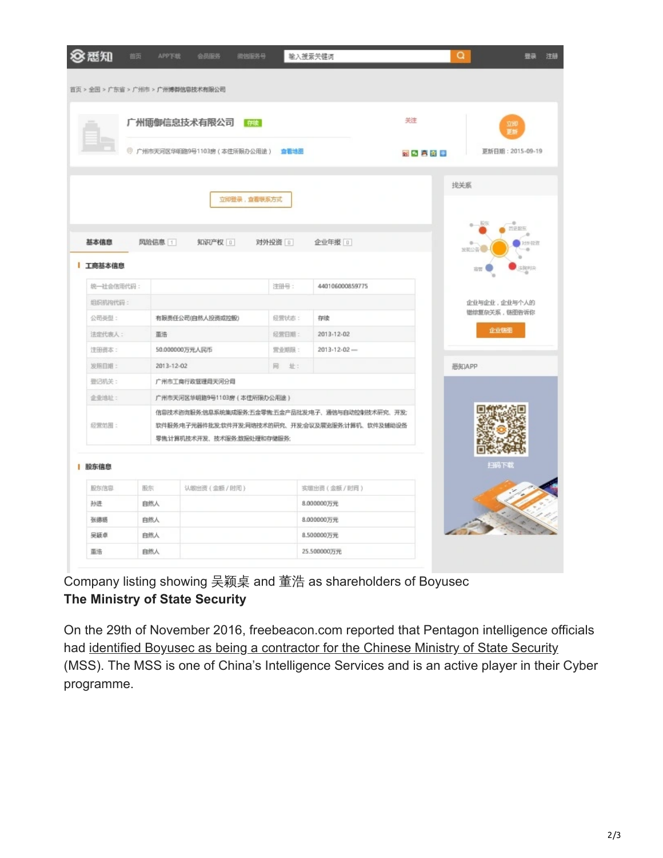| 83 悉知<br>首页 | <b>APP下载</b> | 微信服务号<br>会员服务                                    |              | 输入搜索关键词                                          |              | Q<br>登录          |
|-------------|--------------|--------------------------------------------------|--------------|--------------------------------------------------|--------------|------------------|
|             |              | 首页 > 全国 > 广东省 > 广州市 > 广州博御信息技术有限公司               |              |                                                  |              |                  |
|             |              |                                                  |              |                                                  |              |                  |
|             |              | 广州博御信息技术有限公司 在                                   |              |                                                  | 关注           | 立即<br>更新         |
|             |              | ◎ 广州市天河区华明路9号1103房(本住所限办公用途) 查看地图                |              |                                                  | 初め 真空 田      | 更新日期: 2015-09-19 |
|             |              |                                                  |              |                                                  |              |                  |
|             |              |                                                  |              |                                                  |              | 找关系              |
|             |              | 立即登录,查看联系方式                                      |              |                                                  |              |                  |
|             |              |                                                  |              |                                                  |              | ЮR<br>$\sim$     |
| 基本信息        |              |                                                  |              |                                                  |              | 市平原县             |
|             | 风险信息 1       | 知识产权 0                                           | 对外投资 回       | 企业年报 0                                           |              | 过外田市<br>放電公告     |
| 工商基本信息      |              |                                                  |              |                                                  |              | 法院判决<br>寄        |
| 统一社会信用代码:   |              |                                                  | 注册号:         | 440106000859775                                  |              |                  |
| 坦织机构代码:     |              |                                                  |              |                                                  | 企业与企业,企业与个人的 |                  |
| 公司美型:       |              | 有限责任公司(自然人投资或控股)                                 | 经营状态:        | 存读                                               |              | 错综复杂关系,链图告诉你     |
| 法定代表人:      | 圖惜           |                                                  | 经营日期:        | 2013-12-02                                       |              | 企业链图             |
| 注册资本:       |              | 50.000000万元人民币                                   | <b>雪业期限:</b> | $2013 - 12 - 02$ -                               |              |                  |
| 发照目期:       | 2013-12-02   |                                                  | 网 址:         |                                                  |              | 恶知APP            |
| 豊记机关:       |              | 广州市工商行政管理局天河分局                                   |              |                                                  |              |                  |
| 企业地址:       |              | 广州市天河区华明路9号1103房 (本住所限办公用途)                      |              |                                                  |              |                  |
|             |              |                                                  |              | 信息技术咨询服务;信息系统集成服务;五金零售;五金产品批发;电子、通信与自动控制技术研究、开发; |              |                  |
| 经营范围:       |              | 软件服务:电子元器件批发;软件开发;网络技术的研究、开发:会议及展览服务;计算机、软件及辅助设备 |              |                                                  |              |                  |
|             |              | 零售,计算机技术开发、技术服务;数据处理和存储服务;                       |              |                                                  |              |                  |
|             |              |                                                  |              |                                                  |              | 扫码下载             |
| 股东信息        |              |                                                  |              |                                                  |              |                  |
| 股东信息        | 股东           | 认能出资(金额/时间)                                      |              | 实增出资(金额/时间)                                      |              |                  |
| 孙进          | 自然人          |                                                  |              | 8.000000万元                                       |              |                  |
| 张德旸         | 自然人          |                                                  |              | 8.000000万元                                       |              |                  |
| 吴颖卓         | 自然人          |                                                  |              | 8.500000万元                                       |              |                  |

Company listing showing 吴颖桌 and 董浩 as shareholders of Boyusec **The Ministry of State Security**

On the 29th of November 2016, freebeacon.com reported that Pentagon intelligence officials had [identified Boyusec as being a contractor for the Chinese Ministry of State Security](http://freebeacon.com/national-security/pentagon-links-chinese-cyber-security-firm-beijing-spy-service/) (MSS). The MSS is one of China's Intelligence Services and is an active player in their Cyber programme.